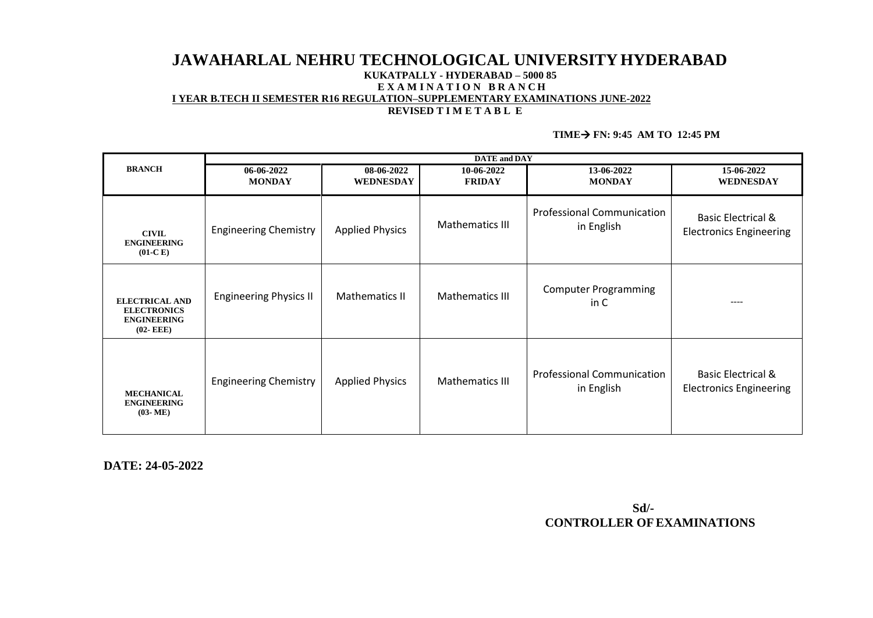# **JAWAHARLAL NEHRU TECHNOLOGICAL UNIVERSITYHYDERABAD KUKATPALLY - HYDERABAD – 5000 85 E X A M I N A T I O N B R A N C H I YEAR B.TECH II SEMESTER R16 REGULATION–SUPPLEMENTARY EXAMINATIONS JUNE-2022 REVISED T I M E T A B L E**

#### **TIME FN: 9:45 AM TO 12:45 PM**

|                                                                                   | <b>DATE</b> and <b>DAY</b>    |                                |                             |                                                 |                                                                 |  |
|-----------------------------------------------------------------------------------|-------------------------------|--------------------------------|-----------------------------|-------------------------------------------------|-----------------------------------------------------------------|--|
| <b>BRANCH</b>                                                                     | 06-06-2022<br><b>MONDAY</b>   | 08-06-2022<br><b>WEDNESDAY</b> | 10-06-2022<br><b>FRIDAY</b> | 13-06-2022<br><b>MONDAY</b>                     | 15-06-2022<br><b>WEDNESDAY</b>                                  |  |
| <b>CIVIL</b><br><b>ENGINEERING</b><br>$(01-C)$                                    | <b>Engineering Chemistry</b>  | <b>Applied Physics</b>         | Mathematics III             | <b>Professional Communication</b><br>in English | <b>Basic Electrical &amp;</b><br><b>Electronics Engineering</b> |  |
| <b>ELECTRICAL AND</b><br><b>ELECTRONICS</b><br><b>ENGINEERING</b><br>$(02 - EEE)$ | <b>Engineering Physics II</b> | Mathematics II                 | <b>Mathematics III</b>      | <b>Computer Programming</b><br>in C             | $---$                                                           |  |
| <b>MECHANICAL</b><br><b>ENGINEERING</b><br>$(03-ME)$                              | <b>Engineering Chemistry</b>  | <b>Applied Physics</b>         | <b>Mathematics III</b>      | <b>Professional Communication</b><br>in English | <b>Basic Electrical &amp;</b><br><b>Electronics Engineering</b> |  |

 **DATE: 24-05-2022** 

 **Sd/- CONTROLLER OFEXAMINATIONS**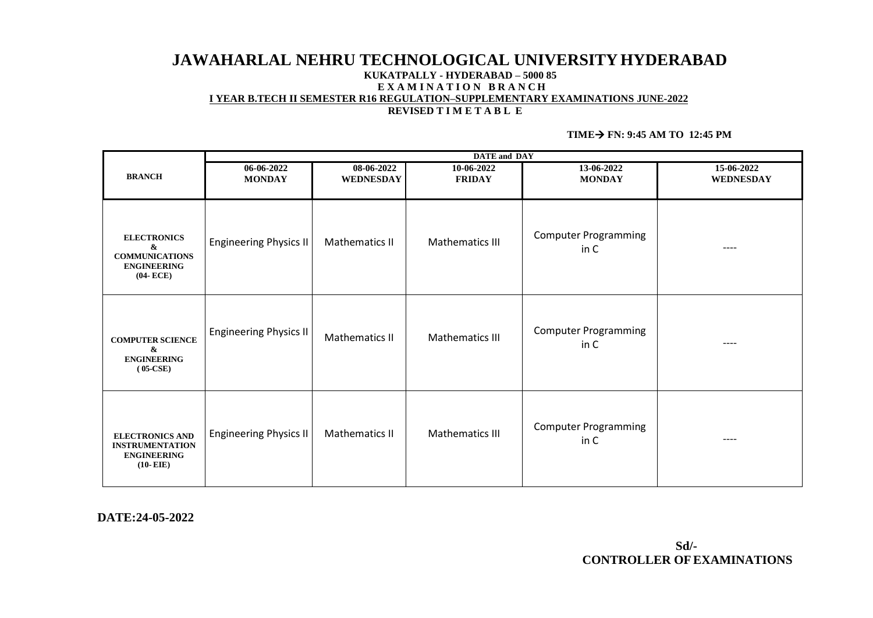# **JAWAHARLAL NEHRU TECHNOLOGICAL UNIVERSITYHYDERABAD KUKATPALLY - HYDERABAD – 5000 85 E X A M I N A T I O N B R A N C H I YEAR B.TECH II SEMESTER R16 REGULATION–SUPPLEMENTARY EXAMINATIONS JUNE-2022 REVISED T I M E T A B L E**

#### **TIME** $\rightarrow$  **FN:** 9:45 AM TO 12:45 PM

|                                                                                        | <b>DATE</b> and <b>DAY</b>    |                                |                             |                                     |                                |
|----------------------------------------------------------------------------------------|-------------------------------|--------------------------------|-----------------------------|-------------------------------------|--------------------------------|
| <b>BRANCH</b>                                                                          | 06-06-2022<br><b>MONDAY</b>   | 08-06-2022<br><b>WEDNESDAY</b> | 10-06-2022<br><b>FRIDAY</b> | 13-06-2022<br><b>MONDAY</b>         | 15-06-2022<br><b>WEDNESDAY</b> |
| <b>ELECTRONICS</b><br>&<br><b>COMMUNICATIONS</b><br><b>ENGINEERING</b><br>$(04 - ECE)$ | <b>Engineering Physics II</b> | Mathematics II                 | Mathematics III             | <b>Computer Programming</b><br>in C | ----                           |
| <b>COMPUTER SCIENCE</b><br>&<br><b>ENGINEERING</b><br>$(05-CSE)$                       | <b>Engineering Physics II</b> | Mathematics II                 | Mathematics III             | <b>Computer Programming</b><br>in C | $---$                          |
| <b>ELECTRONICS AND</b><br><b>INSTRUMENTATION</b><br><b>ENGINEERING</b><br>$(10- EIE)$  | <b>Engineering Physics II</b> | Mathematics II                 | Mathematics III             | <b>Computer Programming</b><br>in C | ----                           |

**DATE:24-05-2022**

**Sd/- CONTROLLER OFEXAMINATIONS**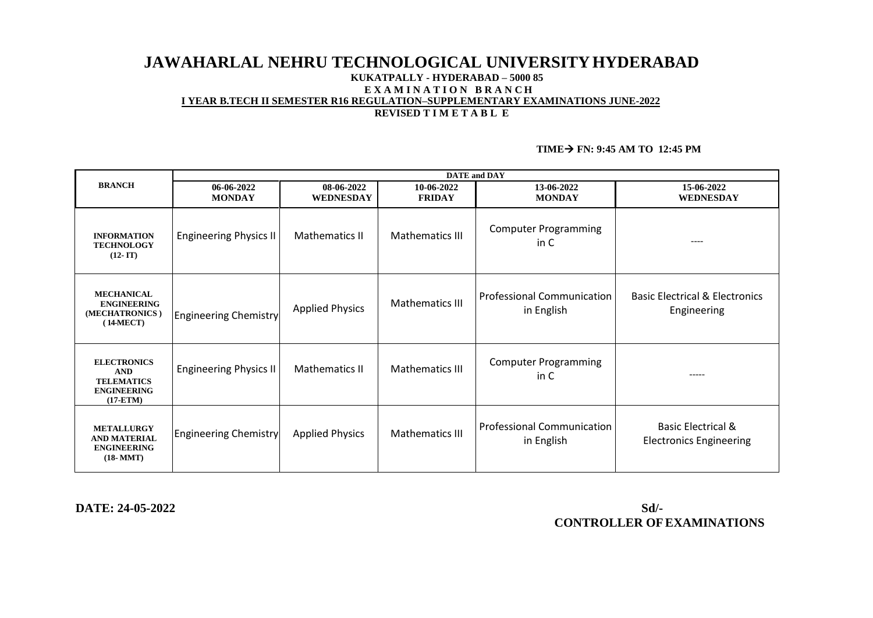# **JAWAHARLAL NEHRU TECHNOLOGICAL UNIVERSITYHYDERABAD KUKATPALLY - HYDERABAD – 5000 85 E X A M I N A T I O N B R A N C H I YEAR B.TECH II SEMESTER R16 REGULATION–SUPPLEMENTARY EXAMINATIONS JUNE-2022 REVISED T I M E T A B L E**

# **TIME FN: 9:45 AM TO 12:45 PM**

|                                                                                             | <b>DATE</b> and <b>DAY</b>    |                                |                             |                                                 |                                                                 |  |
|---------------------------------------------------------------------------------------------|-------------------------------|--------------------------------|-----------------------------|-------------------------------------------------|-----------------------------------------------------------------|--|
| <b>BRANCH</b>                                                                               | $06-06-2022$<br><b>MONDAY</b> | 08-06-2022<br><b>WEDNESDAY</b> | 10-06-2022<br><b>FRIDAY</b> | 13-06-2022<br><b>MONDAY</b>                     | 15-06-2022<br><b>WEDNESDAY</b>                                  |  |
| <b>INFORMATION</b><br><b>TECHNOLOGY</b><br>$(12 - IT)$                                      | <b>Engineering Physics II</b> | Mathematics II                 | Mathematics III             | <b>Computer Programming</b><br>in C             | $- - - -$                                                       |  |
| <b>MECHANICAL</b><br><b>ENGINEERING</b><br>(MECHATRONICS)<br>$(14-MECT)$                    | <b>Engineering Chemistry</b>  | <b>Applied Physics</b>         | Mathematics III             | <b>Professional Communication</b><br>in English | <b>Basic Electrical &amp; Electronics</b><br>Engineering        |  |
| <b>ELECTRONICS</b><br><b>AND</b><br><b>TELEMATICS</b><br><b>ENGINEERING</b><br>$(17 - ETM)$ | <b>Engineering Physics II</b> | Mathematics II                 | Mathematics III             | <b>Computer Programming</b><br>in C             | -----                                                           |  |
| <b>METALLURGY</b><br><b>AND MATERIAL</b><br><b>ENGINEERING</b><br>$(18-MMT)$                | <b>Engineering Chemistry</b>  | <b>Applied Physics</b>         | Mathematics III             | <b>Professional Communication</b><br>in English | <b>Basic Electrical &amp;</b><br><b>Electronics Engineering</b> |  |

 **DATE: 24-05-2022 Sd/- CONTROLLER OFEXAMINATIONS**